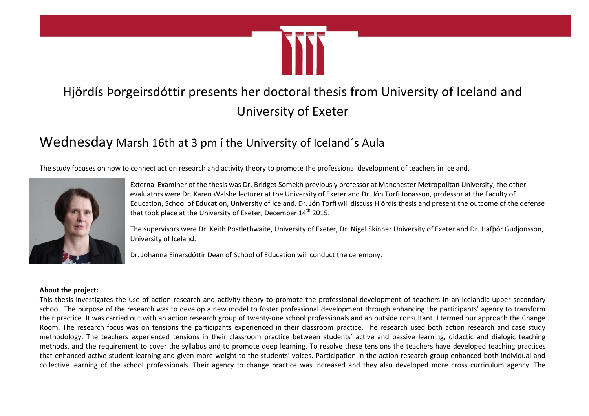

## Hjördís Þorgeirsdóttir presents her doctoral thesis from University of Iceland and University of Exeter

## Wednesday Marsh 16th at 3 pm í the University of Iceland´s Aula

The study focuses on how to connect action research and activity theory to promote the professional development of teachers in Iceland.



External Examiner of the thesis was Dr. Bridget Somekh previously professor at Manchester Metropolitan University, the other evaluators were Dr. Karen Walshe lecturer at the University of Exeter and Dr. Jón Torfi Jonasson, professor at the Faculty of Education, School of Education, University of Iceland. Dr. Jón Torfi will discuss Hjördís thesis and present the outcome of the defense that took place at the University of Exeter, December 14<sup>th</sup> 2015.

The supervisors were Dr. Keith Postlethwaite, University of Exeter, Dr. Nigel Skinner University of Exeter and Dr. Hafþór Gudjonsson, University of Iceland.

Dr. Jóhanna Einarsdóttir Dean of School of Education will conduct the ceremony.

## **About the project:**

This thesis investigates the use of action research and activity theory to promote the professional development of teachers in an Icelandic upper secondary school. The purpose of the research was to develop a new model to foster professional development through enhancing the participants' agency to transform their practice. It was carried out with an action research group of twenty-one school professionals and an outside consultant. I termed our approach the Change Room. The research focus was on tensions the participants experienced in their classroom practice. The research used both action research and case study methodology. The teachers experienced tensions in their classroom practice between students' active and passive learning, didactic and dialogic teaching methods, and the requirement to cover the syllabus and to promote deep learning. To resolve these tensions the teachers have developed teaching practices that enhanced active student learning and given more weight to the students' voices. Participation in the action research group enhanced both individual and collective learning of the school professionals. Their agency to change practice was increased and they also developed more cross curriculum agency. The